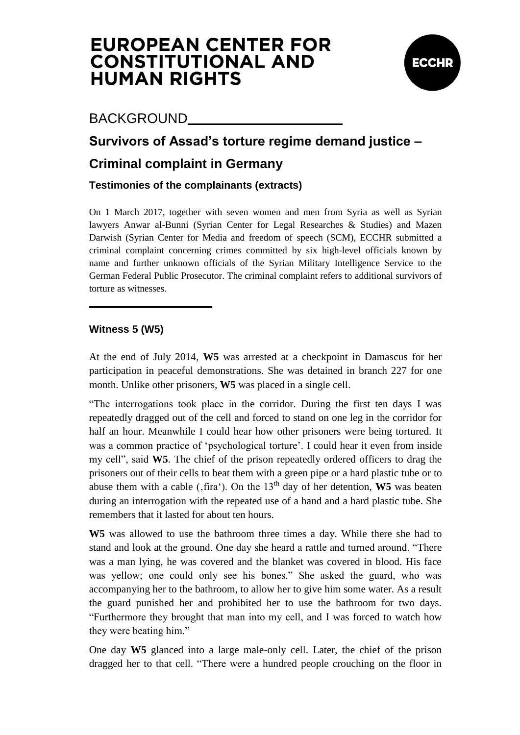

### BACKGROUND

### **Survivors of Assad's torture regime demand justice –**

### **Criminal complaint in Germany**

#### **Testimonies of the complainants (extracts)**

On 1 March 2017, together with seven women and men from Syria as well as Syrian lawyers Anwar al-Bunni (Syrian Center for Legal Researches & Studies) and Mazen Darwish (Syrian Center for Media and freedom of speech (SCM), ECCHR submitted a criminal complaint concerning crimes committed by six high-level officials known by name and further unknown officials of the Syrian Military Intelligence Service to the German Federal Public Prosecutor. The criminal complaint refers to additional survivors of torture as witnesses.

#### **Witness 5 (W5)**

At the end of July 2014, **W5** was arrested at a checkpoint in Damascus for her participation in peaceful demonstrations. She was detained in branch 227 for one month. Unlike other prisoners, **W5** was placed in a single cell.

"The interrogations took place in the corridor. During the first ten days I was repeatedly dragged out of the cell and forced to stand on one leg in the corridor for half an hour. Meanwhile I could hear how other prisoners were being tortured. It was a common practice of 'psychological torture'. I could hear it even from inside my cell", said **W5**. The chief of the prison repeatedly ordered officers to drag the prisoners out of their cells to beat them with a green pipe or a hard plastic tube or to abuse them with a cable ( $,$ fira $')$ . On the 13<sup>th</sup> day of her detention, **W5** was beaten during an interrogation with the repeated use of a hand and a hard plastic tube. She remembers that it lasted for about ten hours.

**W5** was allowed to use the bathroom three times a day. While there she had to stand and look at the ground. One day she heard a rattle and turned around. "There was a man lying, he was covered and the blanket was covered in blood. His face was yellow; one could only see his bones." She asked the guard, who was accompanying her to the bathroom, to allow her to give him some water. As a result the guard punished her and prohibited her to use the bathroom for two days. "Furthermore they brought that man into my cell, and I was forced to watch how they were beating him."

One day **W5** glanced into a large male-only cell. Later, the chief of the prison dragged her to that cell. "There were a hundred people crouching on the floor in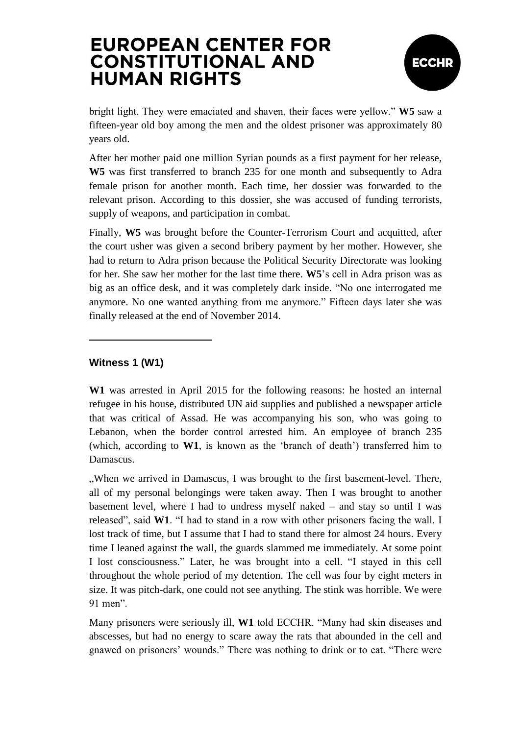

bright light. They were emaciated and shaven, their faces were yellow." **W5** saw a fifteen-year old boy among the men and the oldest prisoner was approximately 80 years old.

After her mother paid one million Syrian pounds as a first payment for her release, **W5** was first transferred to branch 235 for one month and subsequently to Adra female prison for another month. Each time, her dossier was forwarded to the relevant prison. According to this dossier, she was accused of funding terrorists, supply of weapons, and participation in combat.

Finally, **W5** was brought before the Counter-Terrorism Court and acquitted, after the court usher was given a second bribery payment by her mother. However, she had to return to Adra prison because the Political Security Directorate was looking for her. She saw her mother for the last time there. **W5**"s cell in Adra prison was as big as an office desk, and it was completely dark inside. "No one interrogated me anymore. No one wanted anything from me anymore." Fifteen days later she was finally released at the end of November 2014.

#### **Witness 1 (W1)**

**W1** was arrested in April 2015 for the following reasons: he hosted an internal refugee in his house, distributed UN aid supplies and published a newspaper article that was critical of Assad. He was accompanying his son, who was going to Lebanon, when the border control arrested him. An employee of branch 235 (which, according to **W1**, is known as the "branch of death") transferred him to Damascus.

"When we arrived in Damascus, I was brought to the first basement-level. There, all of my personal belongings were taken away. Then I was brought to another basement level, where I had to undress myself naked – and stay so until I was released", said **W1**. "I had to stand in a row with other prisoners facing the wall. I lost track of time, but I assume that I had to stand there for almost 24 hours. Every time I leaned against the wall, the guards slammed me immediately. At some point I lost consciousness." Later, he was brought into a cell. "I stayed in this cell throughout the whole period of my detention. The cell was four by eight meters in size. It was pitch-dark, one could not see anything. The stink was horrible. We were 91 men".

Many prisoners were seriously ill, **W1** told ECCHR. "Many had skin diseases and abscesses, but had no energy to scare away the rats that abounded in the cell and gnawed on prisoners" wounds." There was nothing to drink or to eat. "There were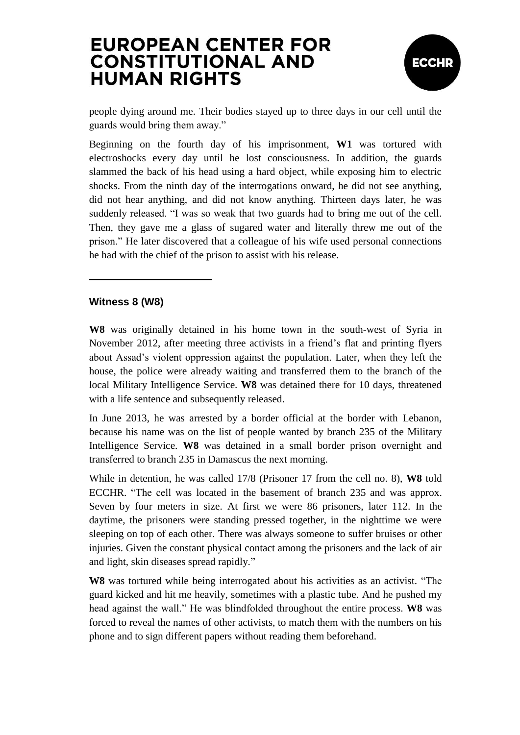

people dying around me. Their bodies stayed up to three days in our cell until the guards would bring them away."

Beginning on the fourth day of his imprisonment, **W1** was tortured with electroshocks every day until he lost consciousness. In addition, the guards slammed the back of his head using a hard object, while exposing him to electric shocks. From the ninth day of the interrogations onward, he did not see anything, did not hear anything, and did not know anything. Thirteen days later, he was suddenly released. "I was so weak that two guards had to bring me out of the cell. Then, they gave me a glass of sugared water and literally threw me out of the prison." He later discovered that a colleague of his wife used personal connections he had with the chief of the prison to assist with his release.

#### **Witness 8 (W8)**

**W8** was originally detained in his home town in the south-west of Syria in November 2012, after meeting three activists in a friend"s flat and printing flyers about Assad"s violent oppression against the population. Later, when they left the house, the police were already waiting and transferred them to the branch of the local Military Intelligence Service. **W8** was detained there for 10 days, threatened with a life sentence and subsequently released.

In June 2013, he was arrested by a border official at the border with Lebanon, because his name was on the list of people wanted by branch 235 of the Military Intelligence Service. **W8** was detained in a small border prison overnight and transferred to branch 235 in Damascus the next morning.

While in detention, he was called 17/8 (Prisoner 17 from the cell no. 8), **W8** told ECCHR. "The cell was located in the basement of branch 235 and was approx. Seven by four meters in size. At first we were 86 prisoners, later 112. In the daytime, the prisoners were standing pressed together, in the nighttime we were sleeping on top of each other. There was always someone to suffer bruises or other injuries. Given the constant physical contact among the prisoners and the lack of air and light, skin diseases spread rapidly."

**W8** was tortured while being interrogated about his activities as an activist. "The guard kicked and hit me heavily, sometimes with a plastic tube. And he pushed my head against the wall." He was blindfolded throughout the entire process. **W8** was forced to reveal the names of other activists, to match them with the numbers on his phone and to sign different papers without reading them beforehand.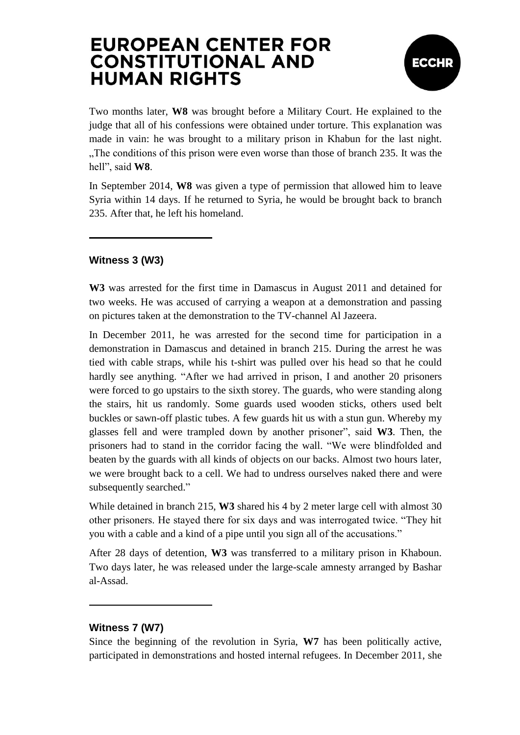

Two months later, **W8** was brought before a Military Court. He explained to the judge that all of his confessions were obtained under torture. This explanation was made in vain: he was brought to a military prison in Khabun for the last night. "The conditions of this prison were even worse than those of branch 235. It was the hell", said **W8**.

In September 2014, **W8** was given a type of permission that allowed him to leave Syria within 14 days. If he returned to Syria, he would be brought back to branch 235. After that, he left his homeland.

#### **Witness 3 (W3)**

**W3** was arrested for the first time in Damascus in August 2011 and detained for two weeks. He was accused of carrying a weapon at a demonstration and passing on pictures taken at the demonstration to the TV-channel Al Jazeera.

In December 2011, he was arrested for the second time for participation in a demonstration in Damascus and detained in branch 215. During the arrest he was tied with cable straps, while his t-shirt was pulled over his head so that he could hardly see anything. "After we had arrived in prison, I and another 20 prisoners were forced to go upstairs to the sixth storey. The guards, who were standing along the stairs, hit us randomly. Some guards used wooden sticks, others used belt buckles or sawn-off plastic tubes. A few guards hit us with a stun gun. Whereby my glasses fell and were trampled down by another prisoner", said **W3**. Then, the prisoners had to stand in the corridor facing the wall. "We were blindfolded and beaten by the guards with all kinds of objects on our backs. Almost two hours later, we were brought back to a cell. We had to undress ourselves naked there and were subsequently searched."

While detained in branch 215, **W3** shared his 4 by 2 meter large cell with almost 30 other prisoners. He stayed there for six days and was interrogated twice. "They hit you with a cable and a kind of a pipe until you sign all of the accusations."

After 28 days of detention, **W3** was transferred to a military prison in Khaboun. Two days later, he was released under the large-scale amnesty arranged by Bashar al-Assad.

#### **Witness 7 (W7)**

Since the beginning of the revolution in Syria, **W7** has been politically active, participated in demonstrations and hosted internal refugees. In December 2011, she